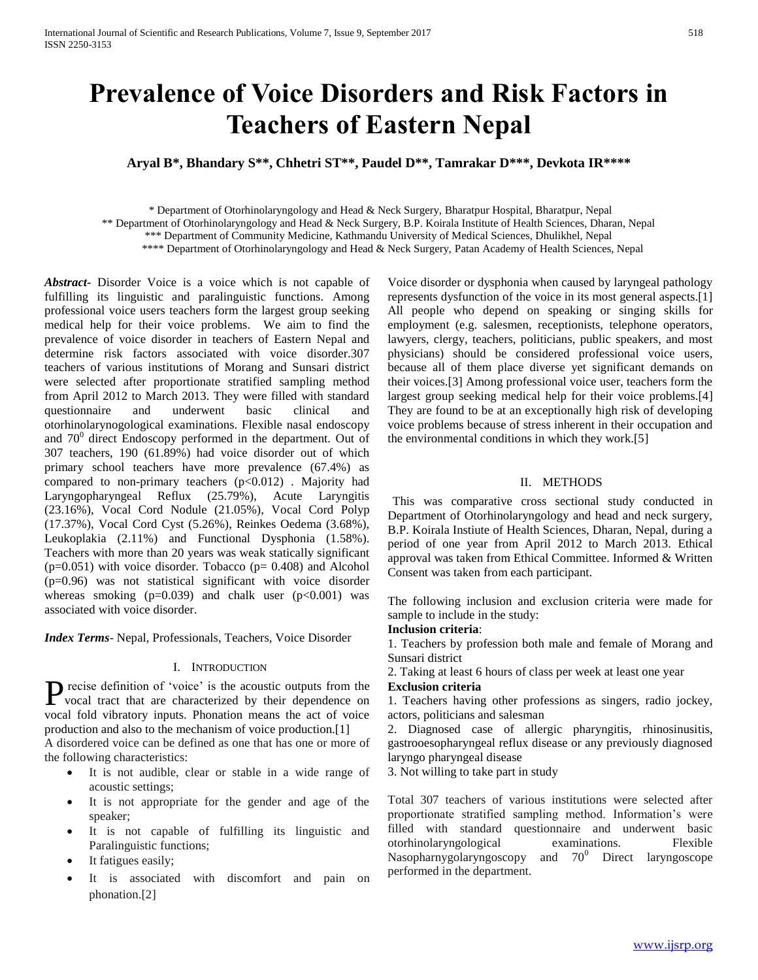# **Prevalence of Voice Disorders and Risk Factors in Teachers of Eastern Nepal**

**Aryal B\*, Bhandary S\*\*, Chhetri ST\*\*, Paudel D\*\*, Tamrakar D\*\*\*, Devkota IR\*\*\*\***

 \* Department of Otorhinolaryngology and Head & Neck Surgery, Bharatpur Hospital, Bharatpur, Nepal \*\* Department of Otorhinolaryngology and Head & Neck Surgery, B.P. Koirala Institute of Health Sciences, Dharan, Nepal \*\*\* Department of Community Medicine, Kathmandu University of Medical Sciences, Dhulikhel, Nepal \*\*\*\* Department of Otorhinolaryngology and Head & Neck Surgery, Patan Academy of Health Sciences, Nepal

*Abstract***-** Disorder Voice is a voice which is not capable of fulfilling its linguistic and paralinguistic functions. Among professional voice users teachers form the largest group seeking medical help for their voice problems. We aim to find the prevalence of voice disorder in teachers of Eastern Nepal and determine risk factors associated with voice disorder.307 teachers of various institutions of Morang and Sunsari district were selected after proportionate stratified sampling method from April 2012 to March 2013. They were filled with standard questionnaire and underwent basic clinical and otorhinolarynogological examinations. Flexible nasal endoscopy and  $70^{\circ}$  direct Endoscopy performed in the department. Out of 307 teachers, 190 (61.89%) had voice disorder out of which primary school teachers have more prevalence (67.4%) as compared to non-primary teachers  $(p<0.012)$ . Majority had Laryngopharyngeal Reflux (25.79%), Acute Laryngitis (23.16%), Vocal Cord Nodule (21.05%), Vocal Cord Polyp (17.37%), Vocal Cord Cyst (5.26%), Reinkes Oedema (3.68%), Leukoplakia (2.11%) and Functional Dysphonia (1.58%). Teachers with more than 20 years was weak statically significant  $(p=0.051)$  with voice disorder. Tobacco  $(p= 0.408)$  and Alcohol (p=0.96) was not statistical significant with voice disorder whereas smoking  $(p=0.039)$  and chalk user  $(p<0.001)$  was associated with voice disorder.

*Index Terms*- Nepal, Professionals, Teachers, Voice Disorder

## I. INTRODUCTION

recise definition of 'voice' is the acoustic outputs from the P recise definition of 'voice' is the acoustic outputs from the vocal tract that are characterized by their dependence on vocal fold vibratory inputs. Phonation means the act of voice production and also to the mechanism of voice production.[1] A disordered voice can be defined as one that has one or more of the following characteristics:

- It is not audible, clear or stable in a wide range of acoustic settings;
- It is not appropriate for the gender and age of the speaker;
- It is not capable of fulfilling its linguistic and Paralinguistic functions;
- It fatigues easily;
- It is associated with discomfort and pain on phonation.[2]

Voice disorder or dysphonia when caused by laryngeal pathology represents dysfunction of the voice in its most general aspects.[1] All people who depend on speaking or singing skills for employment (e.g. salesmen, receptionists, telephone operators, lawyers, clergy, teachers, politicians, public speakers, and most physicians) should be considered professional voice users, because all of them place diverse yet significant demands on their voices.[3] Among professional voice user, teachers form the largest group seeking medical help for their voice problems.[4] They are found to be at an exceptionally high risk of developing voice problems because of stress inherent in their occupation and the environmental conditions in which they work.[5]

## II. METHODS

 This was comparative cross sectional study conducted in Department of Otorhinolaryngology and head and neck surgery, B.P. Koirala Instiute of Health Sciences, Dharan, Nepal, during a period of one year from April 2012 to March 2013. Ethical approval was taken from Ethical Committee. Informed & Written Consent was taken from each participant.

The following inclusion and exclusion criteria were made for sample to include in the study:

# **Inclusion criteria**:

1. Teachers by profession both male and female of Morang and Sunsari district

2. Taking at least 6 hours of class per week at least one year **Exclusion criteria**

1. Teachers having other professions as singers, radio jockey, actors, politicians and salesman

2. Diagnosed case of allergic pharyngitis, rhinosinusitis, gastrooesopharyngeal reflux disease or any previously diagnosed laryngo pharyngeal disease

3. Not willing to take part in study

Total 307 teachers of various institutions were selected after proportionate stratified sampling method. Information's were filled with standard questionnaire and underwent basic otorhinolaryngological examinations. Flexible Nasopharnygolaryngoscopy and  $70^0$  Direct laryngoscope performed in the department.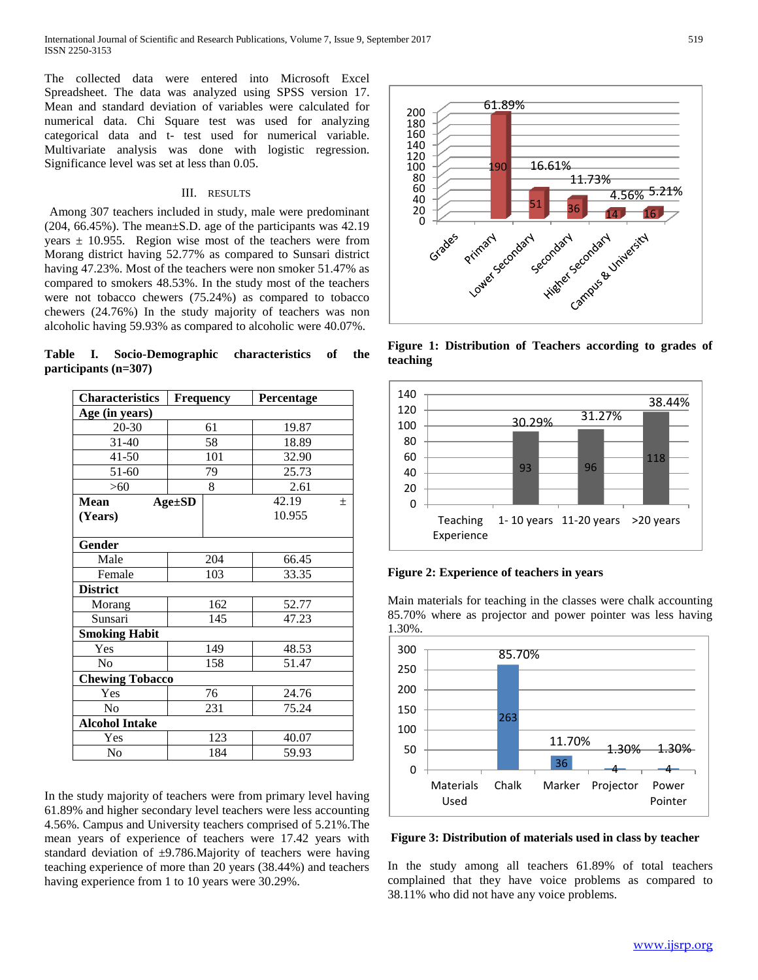The collected data were entered into Microsoft Excel Spreadsheet. The data was analyzed using SPSS version 17. Mean and standard deviation of variables were calculated for numerical data. Chi Square test was used for analyzing categorical data and t- test used for numerical variable. Multivariate analysis was done with logistic regression. Significance level was set at less than 0.05.

## III. RESULTS

 Among 307 teachers included in study, male were predominant (204, 66.45%). The mean±S.D. age of the participants was 42.19 years  $\pm$  10.955. Region wise most of the teachers were from Morang district having 52.77% as compared to Sunsari district having 47.23%. Most of the teachers were non smoker 51.47% as compared to smokers 48.53%. In the study most of the teachers were not tobacco chewers (75.24%) as compared to tobacco chewers (24.76%) In the study majority of teachers was non alcoholic having 59.93% as compared to alcoholic were 40.07%.

**Table I. Socio-Demographic characteristics of the participants (n=307)**

| <b>Characteristics</b> | Frequency    |       | Percentage |       |  |  |
|------------------------|--------------|-------|------------|-------|--|--|
| Age (in years)         |              |       |            |       |  |  |
| 20-30                  |              | 61    | 19.87      |       |  |  |
| $31 - 40$              | 58           |       | 18.89      |       |  |  |
| $41 - 50$              |              | 101   | 32.90      |       |  |  |
| 51-60                  | 79           |       | 25.73      |       |  |  |
| >60                    | 8            |       | 2.61       |       |  |  |
| <b>Mean</b>            | $Age \pm SD$ | 42.19 |            | $\pm$ |  |  |
| (Years)                |              |       | 10.955     |       |  |  |
|                        |              |       |            |       |  |  |
| Gender                 |              |       |            |       |  |  |
| Male                   |              | 204   | 66.45      |       |  |  |
| Female                 | 103          |       | 33.35      |       |  |  |
| <b>District</b>        |              |       |            |       |  |  |
| Morang                 | 162          |       | 52.77      |       |  |  |
| Sunsari                | 145          |       | 47.23      |       |  |  |
| <b>Smoking Habit</b>   |              |       |            |       |  |  |
| Yes                    | 149          |       | 48.53      |       |  |  |
| No                     | 158          |       | 51.47      |       |  |  |
| <b>Chewing Tobacco</b> |              |       |            |       |  |  |
| Yes                    | 76           |       | 24.76      |       |  |  |
| N <sub>0</sub>         | 231          |       | 75.24      |       |  |  |
| <b>Alcohol Intake</b>  |              |       |            |       |  |  |
| Yes                    | 123          |       | 40.07      |       |  |  |
| N <sub>0</sub>         | 184          |       | 59.93      |       |  |  |

In the study majority of teachers were from primary level having 61.89% and higher secondary level teachers were less accounting 4.56%. Campus and University teachers comprised of 5.21%.The mean years of experience of teachers were 17.42 years with standard deviation of  $\pm$ 9.786.Majority of teachers were having teaching experience of more than 20 years (38.44%) and teachers having experience from 1 to 10 years were 30.29%.



**Figure 1: Distribution of Teachers according to grades of teaching**





Main materials for teaching in the classes were chalk accounting 85.70% where as projector and power pointer was less having 1.30%.



**Figure 3: Distribution of materials used in class by teacher**

In the study among all teachers 61.89% of total teachers complained that they have voice problems as compared to 38.11% who did not have any voice problems.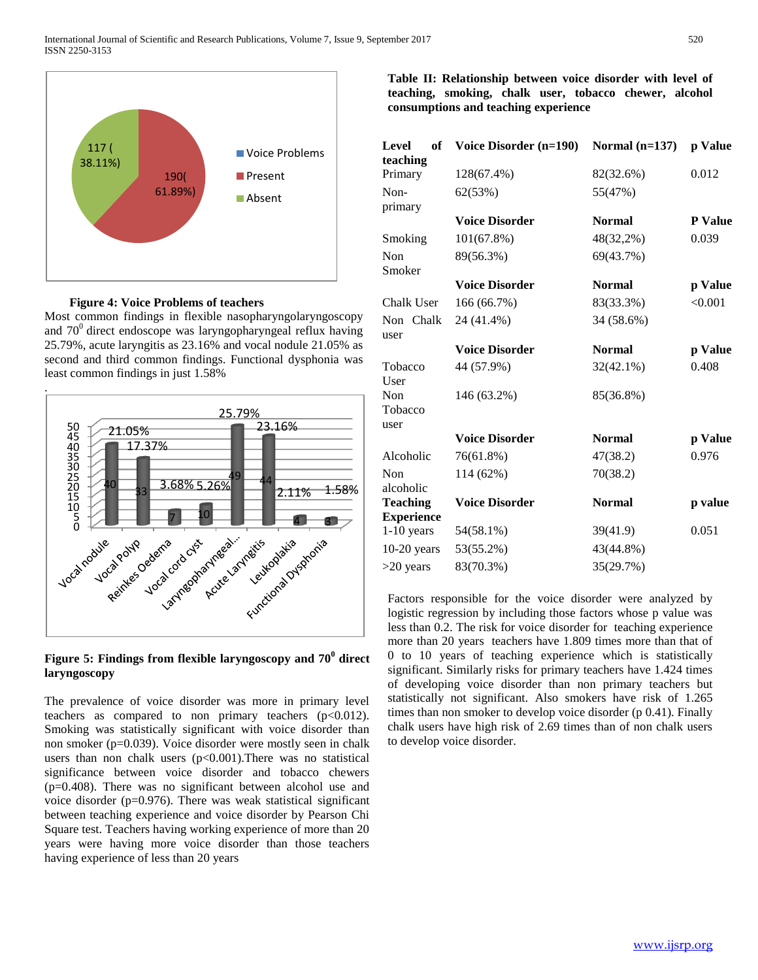

 **Figure 4: Voice Problems of teachers**

Most common findings in flexible nasopharyngolaryngoscopy and  $70^{\circ}$  direct endoscope was laryngopharyngeal reflux having 25.79%, acute laryngitis as 23.16% and vocal nodule 21.05% as second and third common findings. Functional dysphonia was least common findings in just 1.58%



**Figure 5: Findings from flexible laryngoscopy and 70<sup>0</sup> direct laryngoscopy**

The prevalence of voice disorder was more in primary level teachers as compared to non primary teachers  $(p<0.012)$ . Smoking was statistically significant with voice disorder than non smoker (p=0.039). Voice disorder were mostly seen in chalk users than non chalk users  $(p<0.001)$ . There was no statistical significance between voice disorder and tobacco chewers (p=0.408). There was no significant between alcohol use and voice disorder (p=0.976). There was weak statistical significant between teaching experience and voice disorder by Pearson Chi Square test. Teachers having working experience of more than 20 years were having more voice disorder than those teachers having experience of less than 20 years

**Table II: Relationship between voice disorder with level of teaching, smoking, chalk user, tobacco chewer, alcohol consumptions and teaching experience**

| Level<br>of<br>teaching | Voice Disorder (n=190) | Normal $(n=137)$ | p Value |
|-------------------------|------------------------|------------------|---------|
| Primary                 | 128(67.4%)             | 82(32.6%)        | 0.012   |
| Non-<br>primary         | 62(53%)                | 55(47%)          |         |
|                         | <b>Voice Disorder</b>  | <b>Normal</b>    | P Value |
| Smoking                 | 101(67.8%)             | 48(32,2%)        | 0.039   |
| Non<br>Smoker           | 89(56.3%)              | 69(43.7%)        |         |
|                         | <b>Voice Disorder</b>  | <b>Normal</b>    | p Value |
| Chalk User              | 166 (66.7%)            | 83(33.3%)        | < 0.001 |
| Non Chalk<br>user       | 24 (41.4%)             | 34 (58.6%)       |         |
|                         | <b>Voice Disorder</b>  | <b>Normal</b>    | p Value |
| Tobacco<br>User         | 44 (57.9%)             | $32(42.1\%)$     | 0.408   |
| Non<br>Tobacco<br>user  | 146 (63.2%)            | 85(36.8%)        |         |
|                         | <b>Voice Disorder</b>  | <b>Normal</b>    | p Value |
| Alcoholic               | 76(61.8%)              | 47(38.2)         | 0.976   |
| Non<br>alcoholic        | 114 (62%)              | 70(38.2)         |         |
| <b>Teaching</b>         | <b>Voice Disorder</b>  | <b>Normal</b>    | p value |
| <b>Experience</b>       |                        |                  |         |
| $1-10$ years            | 54(58.1%)              | 39(41.9)         | 0.051   |
| $10-20$ years           | 53(55.2%)              | 43(44.8%)        |         |
| $>20$ years             | 83(70.3%)              | 35(29.7%)        |         |

Factors responsible for the voice disorder were analyzed by logistic regression by including those factors whose p value was less than 0.2. The risk for voice disorder for teaching experience more than 20 years teachers have 1.809 times more than that of 0 to 10 years of teaching experience which is statistically significant. Similarly risks for primary teachers have 1.424 times of developing voice disorder than non primary teachers but statistically not significant. Also smokers have risk of 1.265 times than non smoker to develop voice disorder (p 0.41). Finally chalk users have high risk of 2.69 times than of non chalk users to develop voice disorder.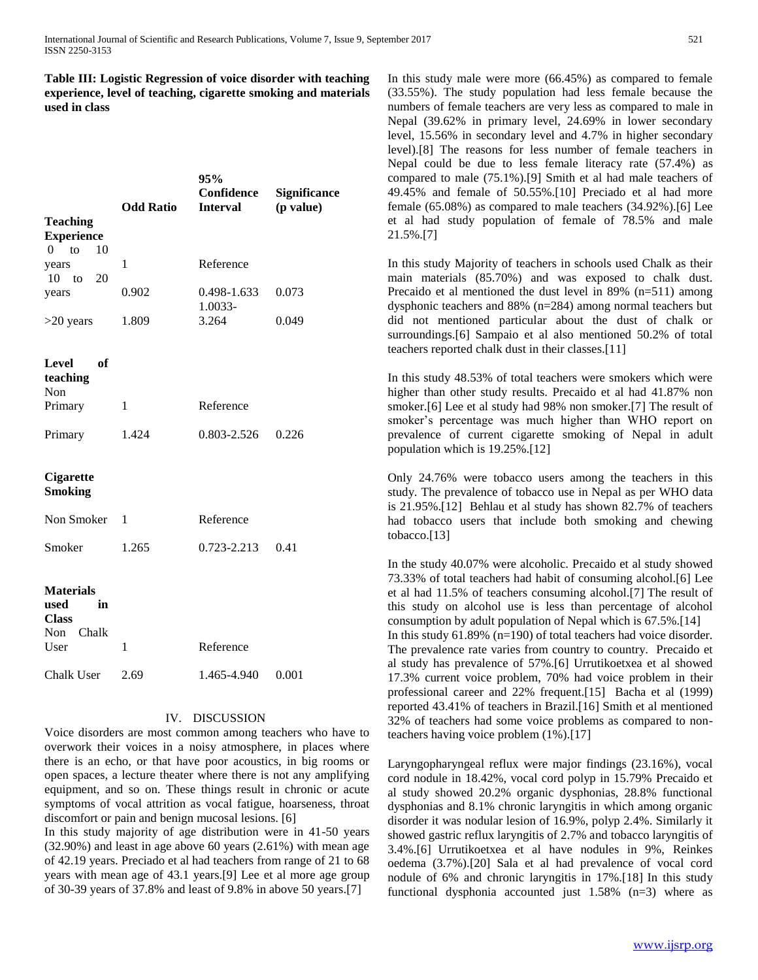**Table III: Logistic Regression of voice disorder with teaching experience, level of teaching, cigarette smoking and materials used in class**

|                                                             | <b>Odd Ratio</b> | 95%<br>Confidence<br><b>Interval</b> | <b>Significance</b><br>(p value) |
|-------------------------------------------------------------|------------------|--------------------------------------|----------------------------------|
| <b>Teaching</b>                                             |                  |                                      |                                  |
| <b>Experience</b><br>$0$ to<br>10                           |                  |                                      |                                  |
| years<br>$10$ to<br>20                                      | 1                | Reference                            |                                  |
| years                                                       | 0.902            | 0.498-1.633<br>1.0033-               | 0.073                            |
| $>20$ years                                                 | 1.809            | 3.264                                | 0.049                            |
| Level<br>- of<br>teaching<br>Non                            |                  |                                      |                                  |
| Primary                                                     | 1                | Reference                            |                                  |
| Primary                                                     | 1.424            | 0.803-2.526                          | 0.226                            |
| Cigarette<br><b>Smoking</b>                                 |                  |                                      |                                  |
| Non Smoker                                                  | 1                | Reference                            |                                  |
| Smoker                                                      | 1.265            | 0.723-2.213                          | 0.41                             |
| <b>Materials</b><br>used<br>in<br><b>Class</b><br>Non Chalk |                  |                                      |                                  |
| User                                                        | 1                | Reference                            |                                  |
| Chalk User                                                  | 2.69             | 1.465-4.940                          | 0.001                            |

# IV. DISCUSSION

Voice disorders are most common among teachers who have to overwork their voices in a noisy atmosphere, in places where there is an echo, or that have poor acoustics, in big rooms or open spaces, a lecture theater where there is not any amplifying equipment, and so on. These things result in chronic or acute symptoms of vocal attrition as vocal fatigue, hoarseness, throat discomfort or pain and benign mucosal lesions. [6]

In this study majority of age distribution were in 41-50 years (32.90%) and least in age above 60 years (2.61%) with mean age of 42.19 years. Preciado et al had teachers from range of 21 to 68 years with mean age of 43.1 years.[9] Lee et al more age group of 30-39 years of 37.8% and least of 9.8% in above 50 years.[7]

In this study male were more (66.45%) as compared to female (33.55%). The study population had less female because the numbers of female teachers are very less as compared to male in Nepal (39.62% in primary level, 24.69% in lower secondary level, 15.56% in secondary level and 4.7% in higher secondary level).[8] The reasons for less number of female teachers in Nepal could be due to less female literacy rate (57.4%) as compared to male (75.1%).[9] Smith et al had male teachers of 49.45% and female of 50.55%.[10] Preciado et al had more female (65.08%) as compared to male teachers (34.92%).[6] Lee et al had study population of female of 78.5% and male 21.5%.[7]

In this study Majority of teachers in schools used Chalk as their main materials (85.70%) and was exposed to chalk dust. Precaido et al mentioned the dust level in 89% (n=511) among dysphonic teachers and 88% (n=284) among normal teachers but did not mentioned particular about the dust of chalk or surroundings.[6] Sampaio et al also mentioned 50.2% of total teachers reported chalk dust in their classes.[11]

In this study 48.53% of total teachers were smokers which were higher than other study results. Precaido et al had 41.87% non smoker.[6] Lee et al study had 98% non smoker.[7] The result of smoker's percentage was much higher than WHO report on prevalence of current cigarette smoking of Nepal in adult population which is 19.25%.[12]

Only 24.76% were tobacco users among the teachers in this study. The prevalence of tobacco use in Nepal as per WHO data is 21.95%.[12] Behlau et al study has shown 82.7% of teachers had tobacco users that include both smoking and chewing tobacco.[13]

In the study 40.07% were alcoholic. Precaido et al study showed 73.33% of total teachers had habit of consuming alcohol.[6] Lee et al had 11.5% of teachers consuming alcohol.[7] The result of this study on alcohol use is less than percentage of alcohol consumption by adult population of Nepal which is 67.5%.[14] In this study 61.89% (n=190) of total teachers had voice disorder. The prevalence rate varies from country to country. Precaido et al study has prevalence of 57%.[6] Urrutikoetxea et al showed 17.3% current voice problem, 70% had voice problem in their professional career and 22% frequent.[15] Bacha et al (1999) reported 43.41% of teachers in Brazil.[16] Smith et al mentioned 32% of teachers had some voice problems as compared to nonteachers having voice problem (1%).[17]

Laryngopharyngeal reflux were major findings (23.16%), vocal cord nodule in 18.42%, vocal cord polyp in 15.79% Precaido et al study showed 20.2% organic dysphonias, 28.8% functional dysphonias and 8.1% chronic laryngitis in which among organic disorder it was nodular lesion of 16.9%, polyp 2.4%. Similarly it showed gastric reflux laryngitis of 2.7% and tobacco laryngitis of 3.4%.[6] Urrutikoetxea et al have nodules in 9%, Reinkes oedema (3.7%).[20] Sala et al had prevalence of vocal cord nodule of 6% and chronic laryngitis in 17%.[18] In this study functional dysphonia accounted just 1.58% (n=3) where as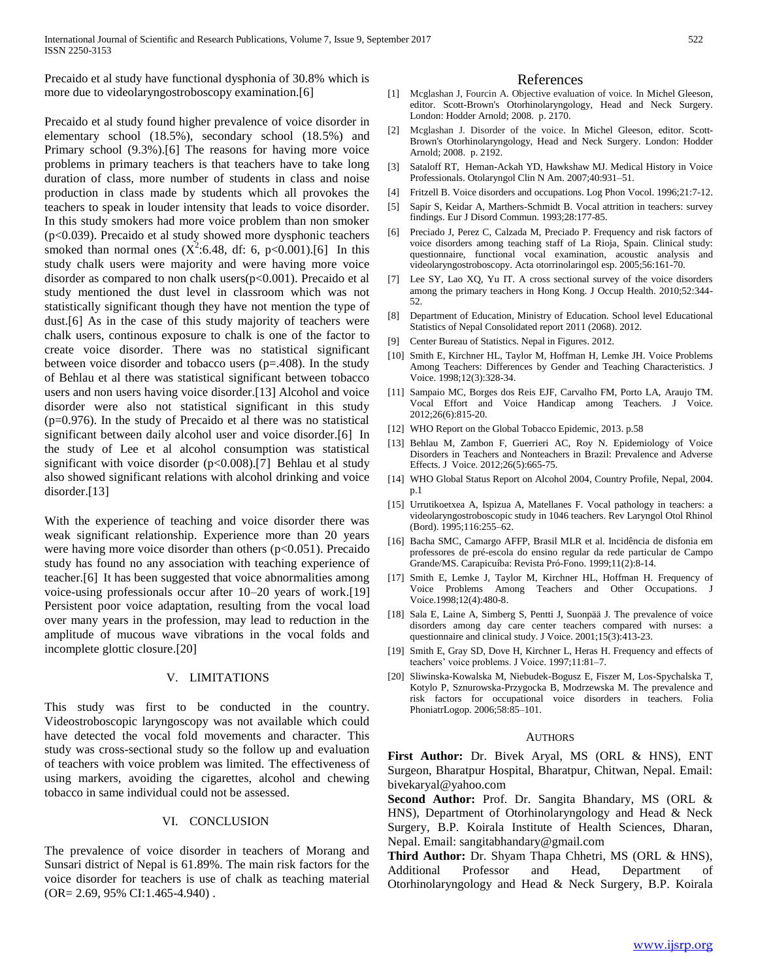Precaido et al study have functional dysphonia of 30.8% which is more due to videolaryngostroboscopy examination.[6]

Precaido et al study found higher prevalence of voice disorder in elementary school (18.5%), secondary school (18.5%) and Primary school (9.3%).[6] The reasons for having more voice problems in primary teachers is that teachers have to take long duration of class, more number of students in class and noise production in class made by students which all provokes the teachers to speak in louder intensity that leads to voice disorder. In this study smokers had more voice problem than non smoker (p<0.039). Precaido et al study showed more dysphonic teachers smoked than normal ones  $(X^2:6.48, df: 6, p<0.001)$ .[6] In this study chalk users were majority and were having more voice disorder as compared to non chalk users(p<0.001). Precaido et al study mentioned the dust level in classroom which was not statistically significant though they have not mention the type of dust.[6] As in the case of this study majority of teachers were chalk users, continous exposure to chalk is one of the factor to create voice disorder. There was no statistical significant between voice disorder and tobacco users (p=.408). In the study of Behlau et al there was statistical significant between tobacco users and non users having voice disorder.[13] Alcohol and voice disorder were also not statistical significant in this study  $(p=0.976)$ . In the study of Precaido et al there was no statistical significant between daily alcohol user and voice disorder.[6] In the study of Lee et al alcohol consumption was statistical significant with voice disorder  $(p<0.008)$ .[7] Behlau et al study also showed significant relations with alcohol drinking and voice disorder.[13]

With the experience of teaching and voice disorder there was weak significant relationship. Experience more than 20 years were having more voice disorder than others  $(p<0.051)$ . Precaido study has found no any association with teaching experience of teacher.[6] It has been suggested that voice abnormalities among voice-using professionals occur after 10–20 years of work.[19] Persistent poor voice adaptation, resulting from the vocal load over many years in the profession, may lead to reduction in the amplitude of mucous wave vibrations in the vocal folds and incomplete glottic closure.[20]

#### V. LIMITATIONS

This study was first to be conducted in the country. Videostroboscopic laryngoscopy was not available which could have detected the vocal fold movements and character. This study was cross-sectional study so the follow up and evaluation of teachers with voice problem was limited. The effectiveness of using markers, avoiding the cigarettes, alcohol and chewing tobacco in same individual could not be assessed.

### VI. CONCLUSION

The prevalence of voice disorder in teachers of Morang and Sunsari district of Nepal is 61.89%. The main risk factors for the voice disorder for teachers is use of chalk as teaching material (OR= 2.69, 95% CI:1.465-4.940) .

#### References

- [1] Mcglashan J, Fourcin A. Objective evaluation of voice. In Michel Gleeson, editor. Scott-Brown's Otorhinolaryngology, Head and Neck Surgery. London: Hodder Arnold; 2008. p. 2170.
- [2] Mcglashan J. Disorder of the voice. In Michel Gleeson, editor. Scott-Brown's Otorhinolaryngology, Head and Neck Surgery. London: Hodder Arnold; 2008. p. 2192.
- [3] Sataloff RT, Heman-Ackah YD, Hawkshaw MJ. Medical History in Voice Professionals. Otolaryngol Clin N Am. 2007;40:931–51.
- [4] Fritzell B. Voice disorders and occupations. Log Phon Vocol. 1996;21:7-12.
- [5] Sapir S, Keidar A, Marthers-Schmidt B. Vocal attrition in teachers: survey findings. Eur J Disord Commun. 1993;28:177-85.
- [6] Preciado J, Perez C, Calzada M, Preciado P. Frequency and risk factors of voice disorders among teaching staff of La Rioja, Spain. Clinical study: questionnaire, functional vocal examination, acoustic analysis and videolaryngostroboscopy. Acta otorrinolaringol esp. 2005;56:161-70.
- [7] Lee SY, Lao XQ, Yu IT. A cross sectional survey of the voice disorders among the primary teachers in Hong Kong. J Occup Health. 2010;52:344- 52.
- [8] Department of Education, Ministry of Education. School level Educational Statistics of Nepal Consolidated report 2011 (2068). 2012.
- [9] Center Bureau of Statistics. Nepal in Figures. 2012.
- [10] Smith E, Kirchner HL, Taylor M, Hoffman H, Lemke JH. Voice Problems Among Teachers: Differences by Gender and Teaching Characteristics. J Voice. 1998;12(3):328-34.
- [11] Sampaio MC, Borges dos Reis EJF, Carvalho FM, Porto LA, Araujo TM. Vocal Effort and Voice Handicap among Teachers. J Voice. 2012;26(6):815-20.
- [12] WHO Report on the Global Tobacco Epidemic, 2013. p.58
- [13] Behlau M, Zambon F, Guerrieri AC, Roy N. Epidemiology of Voice Disorders in Teachers and Nonteachers in Brazil: Prevalence and Adverse Effects. J Voice. 2012;26(5):665-75.
- [14] WHO Global Status Report on Alcohol 2004, Country Profile, Nepal, 2004. p.1
- [15] Urrutikoetxea A, Ispizua A, Matellanes F. Vocal pathology in teachers: a videolaryngostroboscopic study in 1046 teachers. Rev Laryngol Otol Rhinol (Bord). 1995;116:255–62.
- [16] Bacha SMC, Camargo AFFP, Brasil MLR et al. Incidência de disfonia em professores de pré-escola do ensino regular da rede particular de Campo Grande/MS. Carapicuíba: Revista Pró-Fono. 1999;11(2):8-14.
- [17] Smith E, Lemke J, Taylor M, Kirchner HL, Hoffman H. Frequency of Voice Problems Among Teachers and Other Occupations. J Voice.1998;12(4):480-8.
- [18] Sala E, Laine A, Simberg S, Pentti J, Suonpää J. The prevalence of voice disorders among day care center teachers compared with nurses: a questionnaire and clinical study. J Voice. 2001;15(3):413-23.
- [19] Smith E, Gray SD, Dove H, Kirchner L, Heras H. Frequency and effects of teachers' voice problems. J Voice. 1997;11:81–7.
- [20] Sliwinska-Kowalska M, Niebudek-Bogusz E, Fiszer M, Los-Spychalska T, Kotylo P, Sznurowska-Przygocka B, Modrzewska M. The prevalence and risk factors for occupational voice disorders in teachers. Folia PhoniatrLogop. 2006;58:85–101.

#### **AUTHORS**

**First Author:** Dr. Bivek Aryal, MS (ORL & HNS), ENT Surgeon, Bharatpur Hospital, Bharatpur, Chitwan, Nepal. Email: [bivekaryal@yahoo.com](mailto:bivekaryal@yahoo.com)

**Second Author:** Prof. Dr. Sangita Bhandary, MS (ORL & HNS), Department of Otorhinolaryngology and Head & Neck Surgery, B.P. Koirala Institute of Health Sciences, Dharan, Nepal. Email: sangitabhandary@gmail.com

**Third Author:** Dr. Shyam Thapa Chhetri, MS (ORL & HNS), Additional Professor and Head, Department of Otorhinolaryngology and Head & Neck Surgery, B.P. Koirala